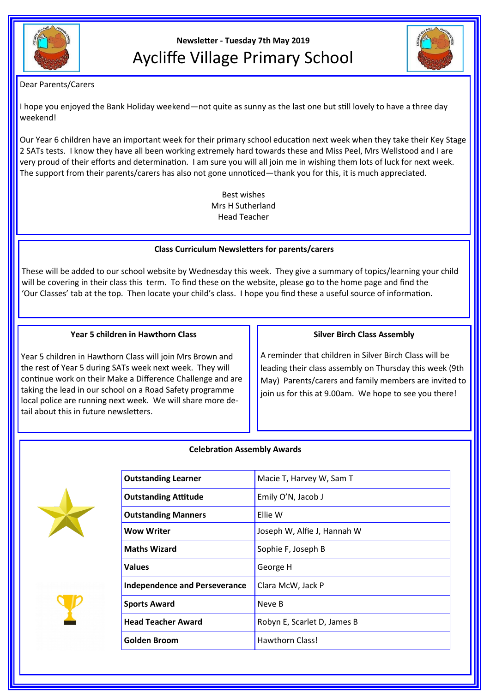

# **Newsletter - Tuesday 7th May 2019** Aycliffe Village Primary School



### Dear Parents/Carers

I hope you enjoyed the Bank Holiday weekend—not quite as sunny as the last one but still lovely to have a three day weekend!

Our Year 6 children have an important week for their primary school education next week when they take their Key Stage 2 SATs tests. I know they have all been working extremely hard towards these and Miss Peel, Mrs Wellstood and I are very proud of their efforts and determination. I am sure you will all join me in wishing them lots of luck for next week. The support from their parents/carers has also not gone unnoticed—thank you for this, it is much appreciated.

> Best wishes Mrs H Sutherland Head Teacher

## **Class Curriculum Newsletters for parents/carers**

These will be added to our school website by Wednesday this week. They give a summary of topics/learning your child will be covering in their class this term. To find these on the website, please go to the home page and find the 'Our Classes' tab at the top. Then locate your child's class. I hope you find these a useful source of information.

#### **Year 5 children in Hawthorn Class**

Year 5 children in Hawthorn Class will join Mrs Brown and the rest of Year 5 during SATs week next week. They will continue work on their Make a Difference Challenge and are taking the lead in our school on a Road Safety programme local police are running next week. We will share more detail about this in future newsletters.

#### **Silver Birch Class Assembly**

A reminder that children in Silver Birch Class will be leading their class assembly on Thursday this week (9th May) Parents/carers and family members are invited to join us for this at 9.00am. We hope to see you there!

#### **Celebration Assembly Awards**